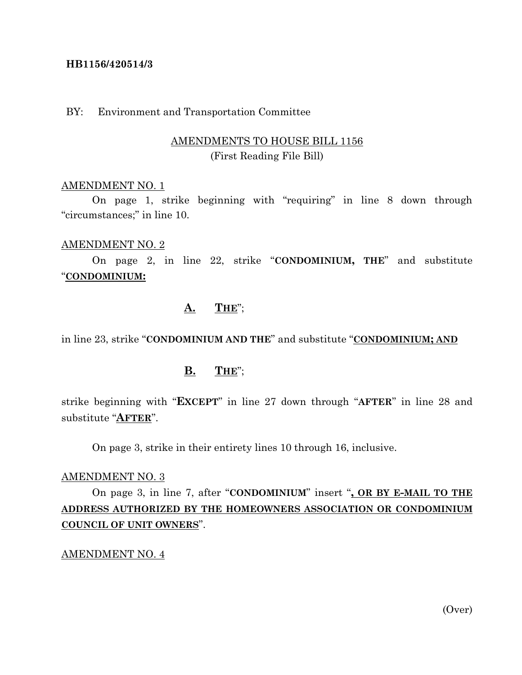### **HB1156/420514/3**

### BY: Environment and Transportation Committee

## AMENDMENTS TO HOUSE BILL 1156 (First Reading File Bill)

#### AMENDMENT NO. 1

On page 1, strike beginning with "requiring" in line 8 down through "circumstances;" in line 10.

#### AMENDMENT NO. 2

On page 2, in line 22, strike "**CONDOMINIUM, THE**" and substitute "**CONDOMINIUM:**

## **A. THE**";

in line 23, strike "**CONDOMINIUM AND THE**" and substitute "**CONDOMINIUM; AND**

### **B. THE**";

strike beginning with "**EXCEPT**" in line 27 down through "**AFTER**" in line 28 and substitute "**AFTER**".

On page 3, strike in their entirety lines 10 through 16, inclusive.

#### AMENDMENT NO. 3

On page 3, in line 7, after "**CONDOMINIUM**" insert "**, OR BY E-MAIL TO THE ADDRESS AUTHORIZED BY THE HOMEOWNERS ASSOCIATION OR CONDOMINIUM COUNCIL OF UNIT OWNERS**".

AMENDMENT NO. 4